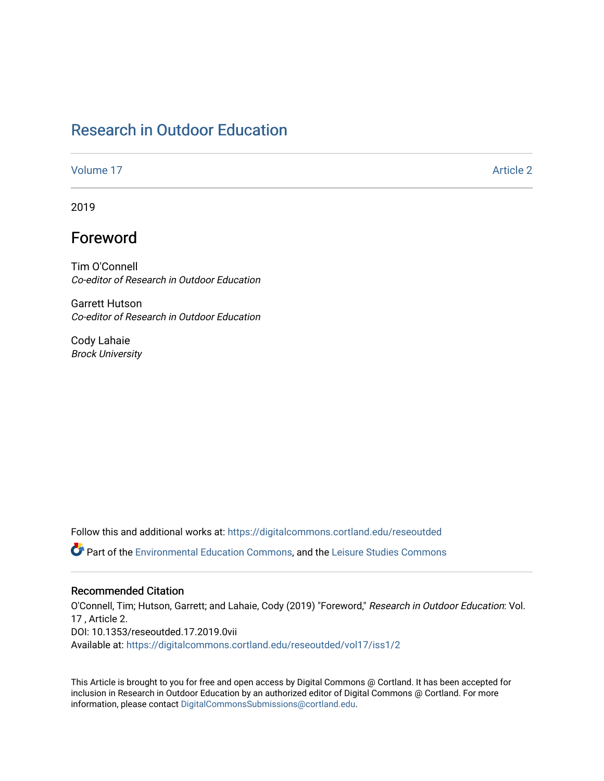# [Research in Outdoor Education](https://digitalcommons.cortland.edu/reseoutded)

### [Volume 17](https://digitalcommons.cortland.edu/reseoutded/vol17) Article 2

2019

## Foreword

Tim O'Connell Co-editor of Research in Outdoor Education

Garrett Hutson Co-editor of Research in Outdoor Education

Cody Lahaie Brock University

Follow this and additional works at: [https://digitalcommons.cortland.edu/reseoutded](https://digitalcommons.cortland.edu/reseoutded?utm_source=digitalcommons.cortland.edu%2Freseoutded%2Fvol17%2Fiss1%2F2&utm_medium=PDF&utm_campaign=PDFCoverPages) Part of the [Environmental Education Commons](http://network.bepress.com/hgg/discipline/1305?utm_source=digitalcommons.cortland.edu%2Freseoutded%2Fvol17%2Fiss1%2F2&utm_medium=PDF&utm_campaign=PDFCoverPages), and the [Leisure Studies Commons](http://network.bepress.com/hgg/discipline/1197?utm_source=digitalcommons.cortland.edu%2Freseoutded%2Fvol17%2Fiss1%2F2&utm_medium=PDF&utm_campaign=PDFCoverPages) 

## Recommended Citation

O'Connell, Tim; Hutson, Garrett; and Lahaie, Cody (2019) "Foreword," Research in Outdoor Education: Vol. 17 , Article 2. DOI: 10.1353/reseoutded.17.2019.0vii Available at: [https://digitalcommons.cortland.edu/reseoutded/vol17/iss1/2](https://digitalcommons.cortland.edu/reseoutded/vol17/iss1/2?utm_source=digitalcommons.cortland.edu%2Freseoutded%2Fvol17%2Fiss1%2F2&utm_medium=PDF&utm_campaign=PDFCoverPages) 

This Article is brought to you for free and open access by Digital Commons @ Cortland. It has been accepted for inclusion in Research in Outdoor Education by an authorized editor of Digital Commons @ Cortland. For more information, please contact [DigitalCommonsSubmissions@cortland.edu](mailto:DigitalCommonsSubmissions@cortland.edu).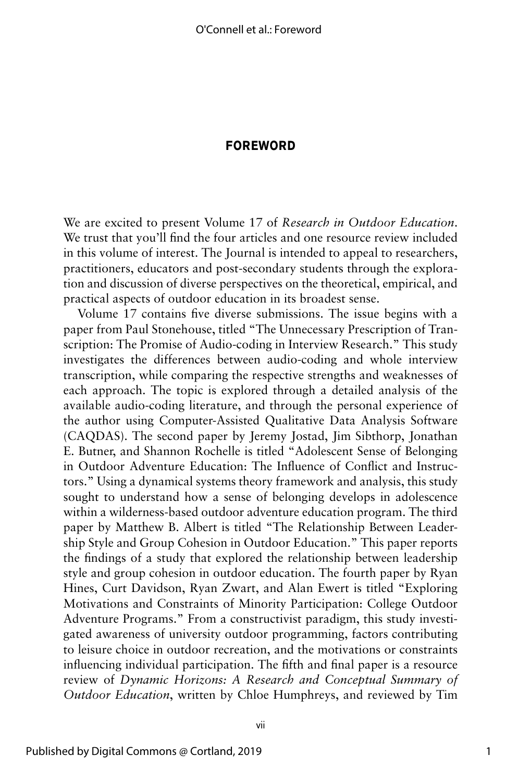### **FOREWORD**

We are excited to present Volume 17 of *Research in Outdoor Education*. We trust that you'll find the four articles and one resource review included in this volume of interest. The Journal is intended to appeal to researchers, practitioners, educators and post-secondary students through the exploration and discussion of diverse perspectives on the theoretical, empirical, and practical aspects of outdoor education in its broadest sense.

Volume 17 contains five diverse submissions. The issue begins with a paper from Paul Stonehouse, titled "The Unnecessary Prescription of Transcription: The Promise of Audio-coding in Interview Research." This study investigates the differences between audio-coding and whole interview transcription, while comparing the respective strengths and weaknesses of each approach. The topic is explored through a detailed analysis of the available audio-coding literature, and through the personal experience of the author using Computer-Assisted Qualitative Data Analysis Software (CAQDAS). The second paper by Jeremy Jostad, Jim Sibthorp, Jonathan E. Butner, and Shannon Rochelle is titled "Adolescent Sense of Belonging in Outdoor Adventure Education: The Influence of Conflict and Instructors." Using a dynamical systems theory framework and analysis, this study sought to understand how a sense of belonging develops in adolescence within a wilderness-based outdoor adventure education program. The third paper by Matthew B. Albert is titled "The Relationship Between Leadership Style and Group Cohesion in Outdoor Education." This paper reports the findings of a study that explored the relationship between leadership style and group cohesion in outdoor education. The fourth paper by Ryan Hines, Curt Davidson, Ryan Zwart, and Alan Ewert is titled "Exploring Motivations and Constraints of Minority Participation: College Outdoor Adventure Programs." From a constructivist paradigm, this study investigated awareness of university outdoor programming, factors contributing to leisure choice in outdoor recreation, and the motivations or constraints influencing individual participation. The fifth and final paper is a resource review of *Dynamic Horizons: A Research and Conceptual Summary of Outdoor Education*, written by Chloe Humphreys, and reviewed by Tim